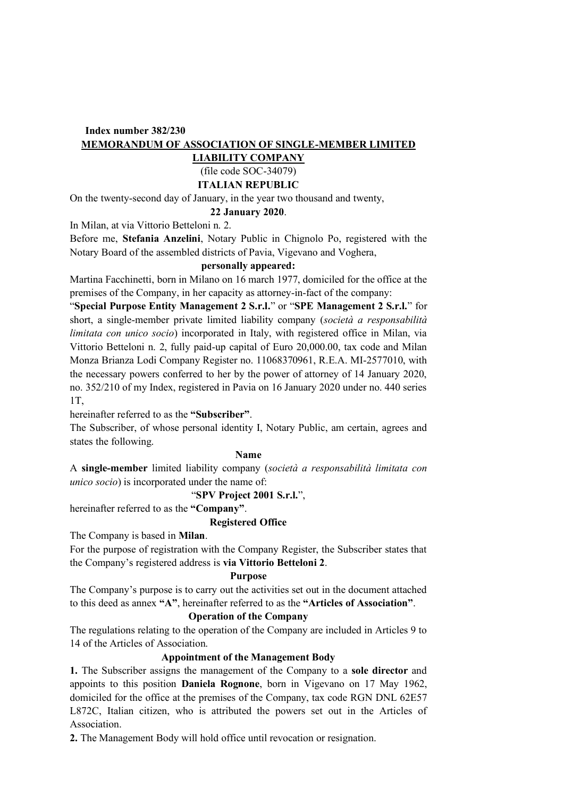# **Index number 382/230 MEMORANDUM OF ASSOCIATION OF SINGLE-MEMBER LIMITED**

## **LIABILITY COMPANY**

# (file code SOC-34079)

# **ITALIAN REPUBLIC**

On the twenty-second day of January, in the year two thousand and twenty,

## **22 January 2020**.

In Milan, at via Vittorio Betteloni n. 2.

Before me, **Stefania Anzelini**, Notary Public in Chignolo Po, registered with the Notary Board of the assembled districts of Pavia, Vigevano and Voghera,

## **personally appeared:**

Martina Facchinetti, born in Milano on 16 march 1977, domiciled for the office at the premises of the Company, in her capacity as attorney-in-fact of the company:

"**Special Purpose Entity Management 2 S.r.l.**" or "**SPE Management 2 S.r.l.**" for short, a single-member private limited liability company (*società a responsabilità limitata con unico socio*) incorporated in Italy, with registered office in Milan, via Vittorio Betteloni n. 2, fully paid-up capital of Euro 20,000.00, tax code and Milan Monza Brianza Lodi Company Register no. 11068370961, R.E.A. MI-2577010, with the necessary powers conferred to her by the power of attorney of 14 January 2020, no. 352/210 of my Index, registered in Pavia on 16 January 2020 under no. 440 series 1T,

hereinafter referred to as the **"Subscriber"**.

The Subscriber, of whose personal identity I, Notary Public, am certain, agrees and states the following.

## **Name**

A **single-member** limited liability company (*società a responsabilità limitata con unico socio*) is incorporated under the name of:

## "**SPV Project 2001 S.r.l.**",

hereinafter referred to as the **"Company"**.

## **Registered Office**

The Company is based in **Milan**.

For the purpose of registration with the Company Register, the Subscriber states that the Company's registered address is **via Vittorio Betteloni 2**.

## **Purpose**

The Company's purpose is to carry out the activities set out in the document attached to this deed as annex **"A"**, hereinafter referred to as the **"Articles of Association"**.

## **Operation of the Company**

The regulations relating to the operation of the Company are included in Articles 9 to 14 of the Articles of Association.

## **Appointment of the Management Body**

**1.** The Subscriber assigns the management of the Company to a **sole director** and appoints to this position **Daniela Rognone**, born in Vigevano on 17 May 1962, domiciled for the office at the premises of the Company, tax code RGN DNL 62E57 L872C, Italian citizen, who is attributed the powers set out in the Articles of Association.

**2.** The Management Body will hold office until revocation or resignation.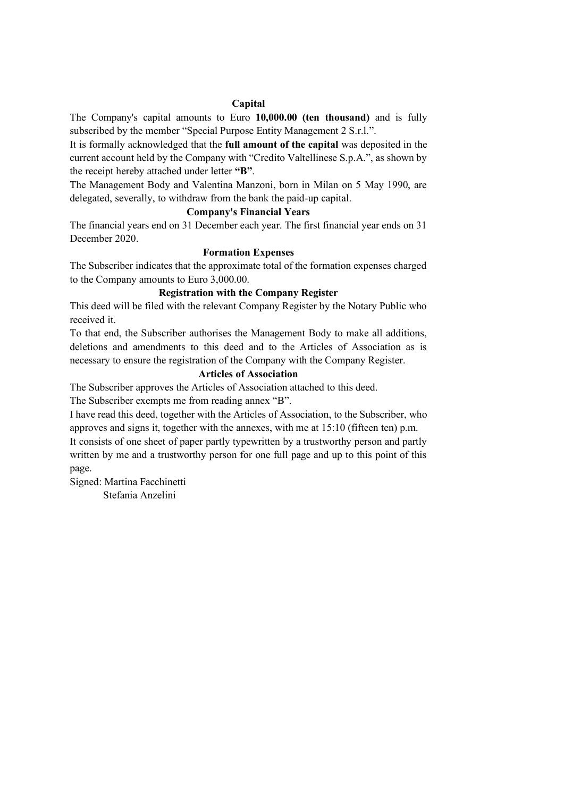### **Capital**

The Company's capital amounts to Euro **10,000.00 (ten thousand)** and is fully subscribed by the member "Special Purpose Entity Management 2 S.r.l.".

It is formally acknowledged that the **full amount of the capital** was deposited in the current account held by the Company with "Credito Valtellinese S.p.A.", as shown by the receipt hereby attached under letter **"B"**.

The Management Body and Valentina Manzoni, born in Milan on 5 May 1990, are delegated, severally, to withdraw from the bank the paid-up capital.

## **Company's Financial Years**

The financial years end on 31 December each year. The first financial year ends on 31 December 2020.

### **Formation Expenses**

The Subscriber indicates that the approximate total of the formation expenses charged to the Company amounts to Euro 3,000.00.

### **Registration with the Company Register**

This deed will be filed with the relevant Company Register by the Notary Public who received it.

To that end, the Subscriber authorises the Management Body to make all additions, deletions and amendments to this deed and to the Articles of Association as is necessary to ensure the registration of the Company with the Company Register.

## **Articles of Association**

The Subscriber approves the Articles of Association attached to this deed.

The Subscriber exempts me from reading annex "B".

I have read this deed, together with the Articles of Association, to the Subscriber, who approves and signs it, together with the annexes, with me at 15:10 (fifteen ten) p.m.

It consists of one sheet of paper partly typewritten by a trustworthy person and partly written by me and a trustworthy person for one full page and up to this point of this page.

Signed: Martina Facchinetti Stefania Anzelini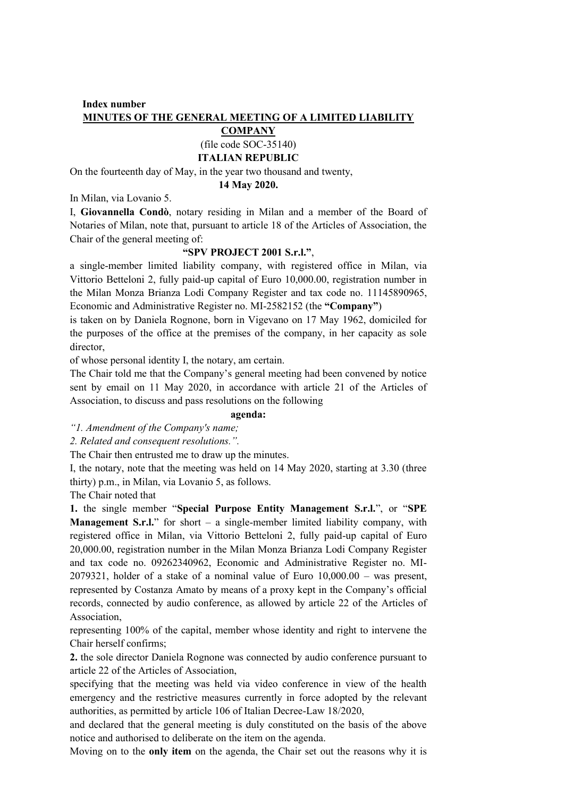## **Index number MINUTES OF THE GENERAL MEETING OF A LIMITED LIABILITY**

### **COMPANY** (file code SOC-35140)

# **ITALIAN REPUBLIC**

On the fourteenth day of May, in the year two thousand and twenty,

### **14 May 2020.**

In Milan, via Lovanio 5.

I, **Giovannella Condò**, notary residing in Milan and a member of the Board of Notaries of Milan, note that, pursuant to article 18 of the Articles of Association, the Chair of the general meeting of:

### **"SPV PROJECT 2001 S.r.l."**,

a single-member limited liability company, with registered office in Milan, via Vittorio Betteloni 2, fully paid-up capital of Euro 10,000.00, registration number in the Milan Monza Brianza Lodi Company Register and tax code no. 11145890965, Economic and Administrative Register no. MI-2582152 (the **"Company"**)

is taken on by Daniela Rognone, born in Vigevano on 17 May 1962, domiciled for the purposes of the office at the premises of the company, in her capacity as sole director,

of whose personal identity I, the notary, am certain.

The Chair told me that the Company's general meeting had been convened by notice sent by email on 11 May 2020, in accordance with article 21 of the Articles of Association, to discuss and pass resolutions on the following

### **agenda:**

*"1. Amendment of the Company's name;*

*2. Related and consequent resolutions.".*

The Chair then entrusted me to draw up the minutes.

I, the notary, note that the meeting was held on 14 May 2020, starting at 3.30 (three thirty) p.m., in Milan, via Lovanio 5, as follows.

The Chair noted that

**1.** the single member "**Special Purpose Entity Management S.r.l.**", or "**SPE Management S.r.l.**" for short – a single-member limited liability company, with registered office in Milan, via Vittorio Betteloni 2, fully paid-up capital of Euro 20,000.00, registration number in the Milan Monza Brianza Lodi Company Register and tax code no. 09262340962, Economic and Administrative Register no. MI- $2079321$ , holder of a stake of a nominal value of Euro  $10,000.00 -$  was present, represented by Costanza Amato by means of a proxy kept in the Company's official records, connected by audio conference, as allowed by article 22 of the Articles of Association,

representing 100% of the capital, member whose identity and right to intervene the Chair herself confirms;

**2.** the sole director Daniela Rognone was connected by audio conference pursuant to article 22 of the Articles of Association,

specifying that the meeting was held via video conference in view of the health emergency and the restrictive measures currently in force adopted by the relevant authorities, as permitted by article 106 of Italian Decree-Law 18/2020,

and declared that the general meeting is duly constituted on the basis of the above notice and authorised to deliberate on the item on the agenda.

Moving on to the **only item** on the agenda, the Chair set out the reasons why it is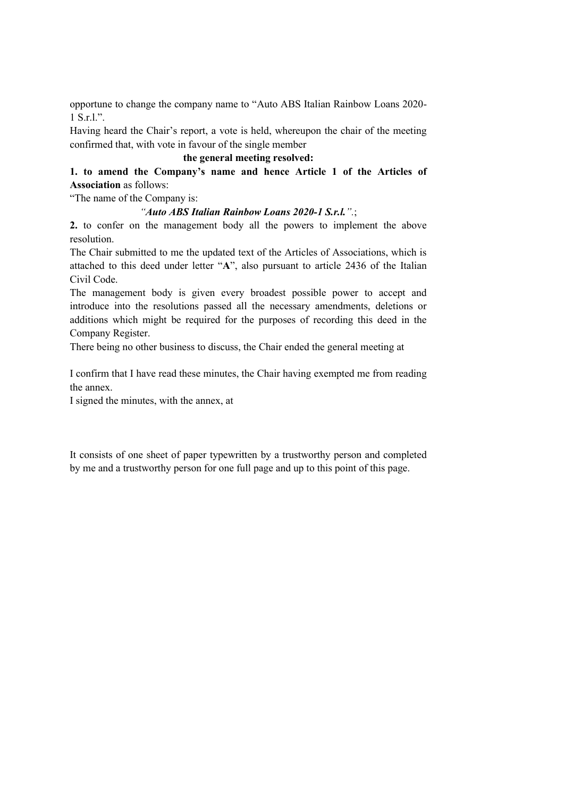opportune to change the company name to "Auto ABS Italian Rainbow Loans 2020- 1 S.r.l.".

Having heard the Chair's report, a vote is held, whereupon the chair of the meeting confirmed that, with vote in favour of the single member

## **the general meeting resolved:**

# **1. to amend the Company's name and hence Article 1 of the Articles of Association** as follows:

"The name of the Company is:

### *"Auto ABS Italian Rainbow Loans 2020-1 S.r.l.".*;

**2.** to confer on the management body all the powers to implement the above resolution.

The Chair submitted to me the updated text of the Articles of Associations, which is attached to this deed under letter "**A**", also pursuant to article 2436 of the Italian Civil Code.

The management body is given every broadest possible power to accept and introduce into the resolutions passed all the necessary amendments, deletions or additions which might be required for the purposes of recording this deed in the Company Register.

There being no other business to discuss, the Chair ended the general meeting at

I confirm that I have read these minutes, the Chair having exempted me from reading the annex.

I signed the minutes, with the annex, at

It consists of one sheet of paper typewritten by a trustworthy person and completed by me and a trustworthy person for one full page and up to this point of this page.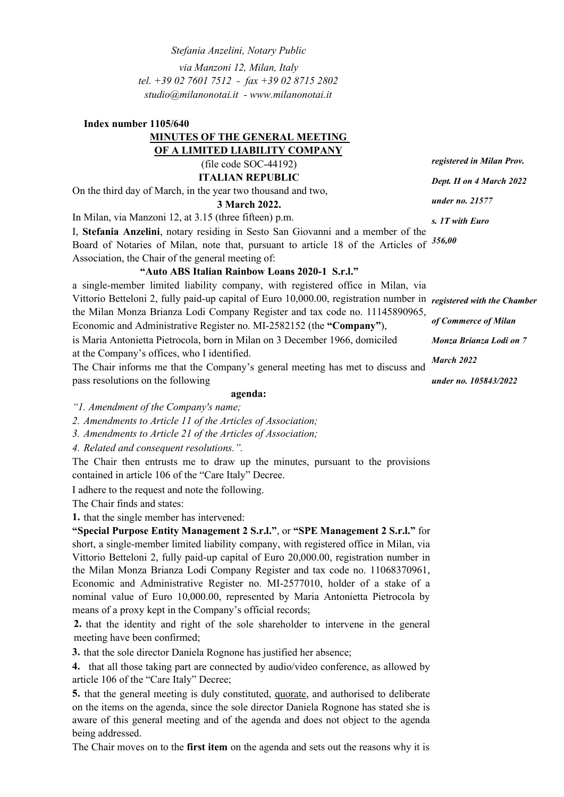*Stefania Anzelini, Notary Public via Manzoni 12, Milan, Italy tel. +39 02 7601 7512 - fax +39 02 8715 2802 [studio@milanonotai.it -](mailto:studio@milanonotai.it) [www.milanonotai.it](http://www.milanonotai.it/)*

# **Index number 1105/640 MINUTES OF THE GENERAL MEETING OF A LIMITED LIABILITY COMPANY** (file code SOC-44192) **ITALIAN REPUBLIC**

On the third day of March, in the year two thousand and two,

## **3 March 2022.**

In Milan, via Manzoni 12, at 3.15 (three fifteen) p.m.

I, **Stefania Anzelini**, notary residing in Sesto San Giovanni and a member of the Board of Notaries of Milan, note that, pursuant to article 18 of the Articles of *356,00* Association, the Chair of the general meeting of:

## **"Auto ABS Italian Rainbow Loans 2020-1 S.r.l."**

a single-member limited liability company, with registered office in Milan, via Vittorio Betteloni 2, fully paid-up capital of Euro 10,000.00, registration number in *registered with the Chamber*  the Milan Monza Brianza Lodi Company Register and tax code no. 11145890965, Economic and Administrative Register no. MI-2582152 (the **"Company"**), is Maria Antonietta Pietrocola, born in Milan on 3 December 1966, domiciled at the Company's offices, who I identified. The Chair informs me that the Company's general meeting has met to discuss and pass resolutions on the following *of Commerce of Milan Monza Brianza Lodi on 7 March 2022*

*under no. 105843/2022*

### **agenda:**

*"1. Amendment of the Company's name;*

*2. Amendments to Article 11 of the Articles of Association;*

*3. Amendments to Article 21 of the Articles of Association;*

*4. Related and consequent resolutions.".*

The Chair then entrusts me to draw up the minutes, pursuant to the provisions contained in article 106 of the "Care Italy" Decree.

I adhere to the request and note the following.

The Chair finds and states:

**1.** that the single member has intervened:

**"Special Purpose Entity Management 2 S.r.l."**, or **"SPE Management 2 S.r.l."** for short, a single-member limited liability company, with registered office in Milan, via Vittorio Betteloni 2, fully paid-up capital of Euro 20,000.00, registration number in the Milan Monza Brianza Lodi Company Register and tax code no. 11068370961, Economic and Administrative Register no. MI-2577010, holder of a stake of a nominal value of Euro 10,000.00, represented by Maria Antonietta Pietrocola by means of a proxy kept in the Company's official records;

**2.** that the identity and right of the sole shareholder to intervene in the general meeting have been confirmed;

**3.** that the sole director Daniela Rognone has justified her absence;

**4.** that all those taking part are connected by audio/video conference, as allowed by article 106 of the "Care Italy" Decree;

**5.** that the general meeting is duly constituted, quorate, and authorised to deliberate on the items on the agenda, since the sole director Daniela Rognone has stated she is aware of this general meeting and of the agenda and does not object to the agenda being addressed.

The Chair moves on to the **first item** on the agenda and sets out the reasons why it is

*registered in Milan Prov. Dept. II on 4 March 2022 under no. 21577* 

*s. 1T with Euro*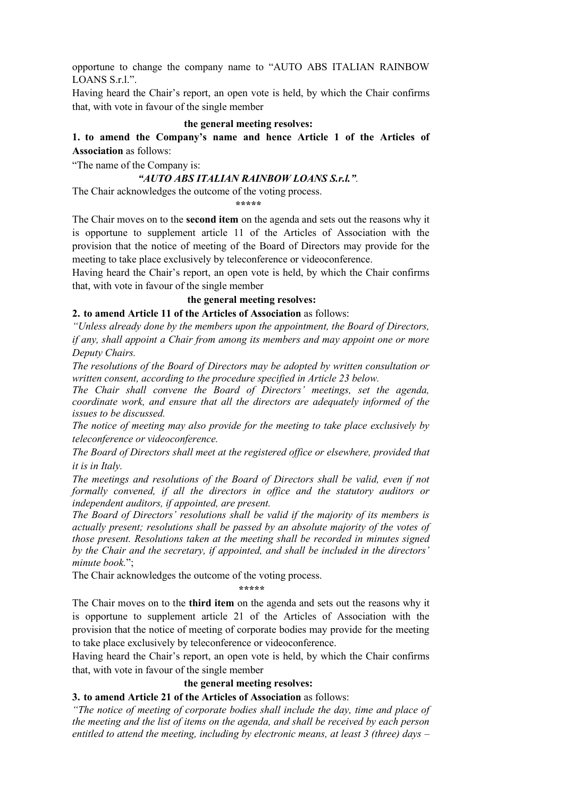opportune to change the company name to "AUTO ABS ITALIAN RAINBOW LOANS S.r.l.".

Having heard the Chair's report, an open vote is held, by which the Chair confirms that, with vote in favour of the single member

### **the general meeting resolves:**

**1. to amend the Company's name and hence Article 1 of the Articles of Association** as follows:

"The name of the Company is:

### *"AUTO ABS ITALIAN RAINBOW LOANS S.r.l.".*

The Chair acknowledges the outcome of the voting process.

**\*\*\*\*\***

The Chair moves on to the **second item** on the agenda and sets out the reasons why it is opportune to supplement article 11 of the Articles of Association with the provision that the notice of meeting of the Board of Directors may provide for the meeting to take place exclusively by teleconference or videoconference.

Having heard the Chair's report, an open vote is held, by which the Chair confirms that, with vote in favour of the single member

### **the general meeting resolves:**

**2. to amend Article 11 of the Articles of Association** as follows:

*"Unless already done by the members upon the appointment, the Board of Directors, if any, shall appoint a Chair from among its members and may appoint one or more Deputy Chairs.*

*The resolutions of the Board of Directors may be adopted by written consultation or written consent, according to the procedure specified in Article 23 below.*

*The Chair shall convene the Board of Directors' meetings, set the agenda, coordinate work, and ensure that all the directors are adequately informed of the issues to be discussed.*

*The notice of meeting may also provide for the meeting to take place exclusively by teleconference or videoconference.*

*The Board of Directors shall meet at the registered office or elsewhere, provided that it is in Italy.*

*The meetings and resolutions of the Board of Directors shall be valid, even if not formally convened, if all the directors in office and the statutory auditors or independent auditors, if appointed, are present.*

*The Board of Directors' resolutions shall be valid if the majority of its members is actually present; resolutions shall be passed by an absolute majority of the votes of those present. Resolutions taken at the meeting shall be recorded in minutes signed by the Chair and the secretary, if appointed, and shall be included in the directors' minute book.*";

The Chair acknowledges the outcome of the voting process.

**\*\*\*\*\***

The Chair moves on to the **third item** on the agenda and sets out the reasons why it is opportune to supplement article 21 of the Articles of Association with the provision that the notice of meeting of corporate bodies may provide for the meeting to take place exclusively by teleconference or videoconference.

Having heard the Chair's report, an open vote is held, by which the Chair confirms that, with vote in favour of the single member

### **the general meeting resolves:**

### **3. to amend Article 21 of the Articles of Association** as follows:

*"The notice of meeting of corporate bodies shall include the day, time and place of the meeting and the list of items on the agenda, and shall be received by each person entitled to attend the meeting, including by electronic means, at least 3 (three) days –*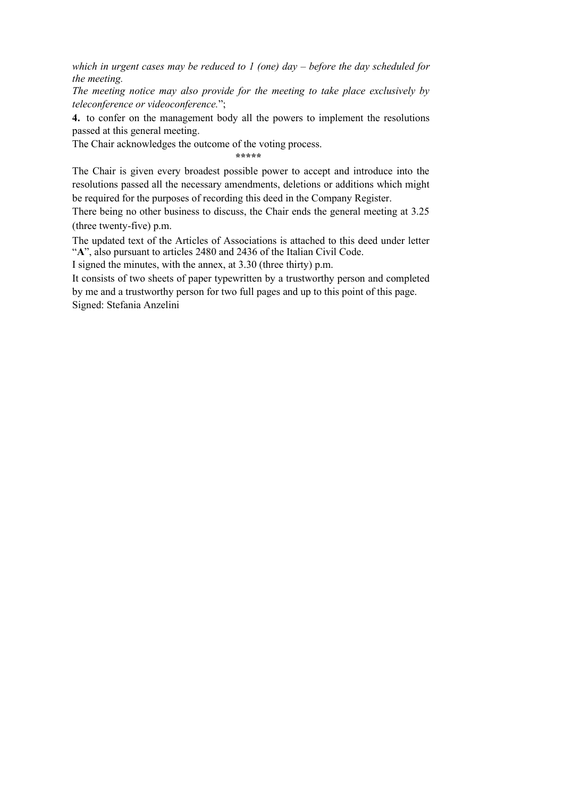*which in urgent cases may be reduced to 1 (one) day – before the day scheduled for the meeting.*

*The meeting notice may also provide for the meeting to take place exclusively by teleconference or videoconference.*";

**4.** to confer on the management body all the powers to implement the resolutions passed at this general meeting.

The Chair acknowledges the outcome of the voting process.

**\*\*\*\*\***

The Chair is given every broadest possible power to accept and introduce into the resolutions passed all the necessary amendments, deletions or additions which might be required for the purposes of recording this deed in the Company Register.

There being no other business to discuss, the Chair ends the general meeting at 3.25 (three twenty-five) p.m.

The updated text of the Articles of Associations is attached to this deed under letter "**A**", also pursuant to articles 2480 and 2436 of the Italian Civil Code.

I signed the minutes, with the annex, at 3.30 (three thirty) p.m.

It consists of two sheets of paper typewritten by a trustworthy person and completed by me and a trustworthy person for two full pages and up to this point of this page. Signed: Stefania Anzelini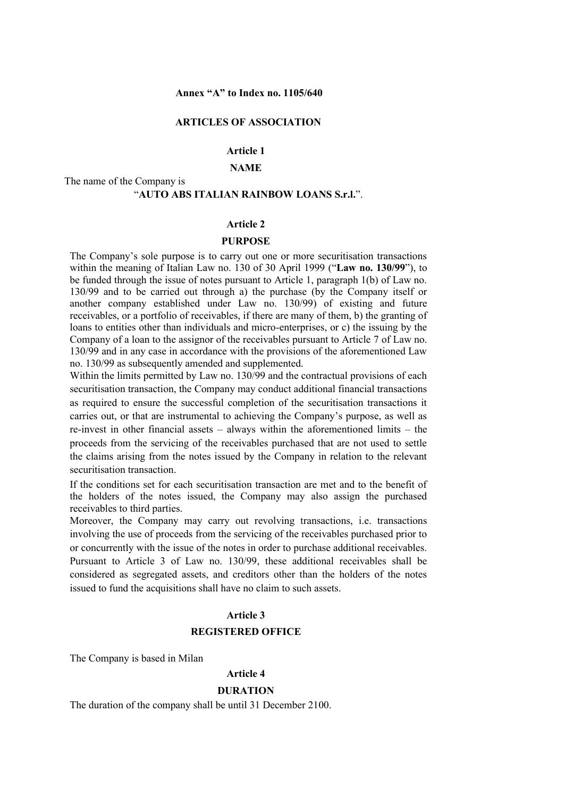### **ARTICLES OF ASSOCIATION**

## **Article 1**

### **NAME**

# The name of the Company is "**AUTO ABS ITALIAN RAINBOW LOANS S.r.l.**".

### **Article 2**

#### **PURPOSE**

The Company's sole purpose is to carry out one or more securitisation transactions within the meaning of Italian Law no. 130 of 30 April 1999 ("**Law no. 130/99**"), to be funded through the issue of notes pursuant to Article 1, paragraph 1(b) of Law no. 130/99 and to be carried out through a) the purchase (by the Company itself or another company established under Law no. 130/99) of existing and future receivables, or a portfolio of receivables, if there are many of them, b) the granting of loans to entities other than individuals and micro-enterprises, or c) the issuing by the Company of a loan to the assignor of the receivables pursuant to Article 7 of Law no. 130/99 and in any case in accordance with the provisions of the aforementioned Law no. 130/99 as subsequently amended and supplemented.

Within the limits permitted by Law no. 130/99 and the contractual provisions of each securitisation transaction, the Company may conduct additional financial transactions as required to ensure the successful completion of the securitisation transactions it carries out, or that are instrumental to achieving the Company's purpose, as well as re-invest in other financial assets – always within the aforementioned limits – the proceeds from the servicing of the receivables purchased that are not used to settle the claims arising from the notes issued by the Company in relation to the relevant securitisation transaction.

If the conditions set for each securitisation transaction are met and to the benefit of the holders of the notes issued, the Company may also assign the purchased receivables to third parties.

Moreover, the Company may carry out revolving transactions, i.e. transactions involving the use of proceeds from the servicing of the receivables purchased prior to or concurrently with the issue of the notes in order to purchase additional receivables. Pursuant to Article 3 of Law no. 130/99, these additional receivables shall be considered as segregated assets, and creditors other than the holders of the notes issued to fund the acquisitions shall have no claim to such assets.

### **Article 3**

#### **REGISTERED OFFICE**

The Company is based in Milan

#### **Article 4**

### **DURATION**

The duration of the company shall be until 31 December 2100.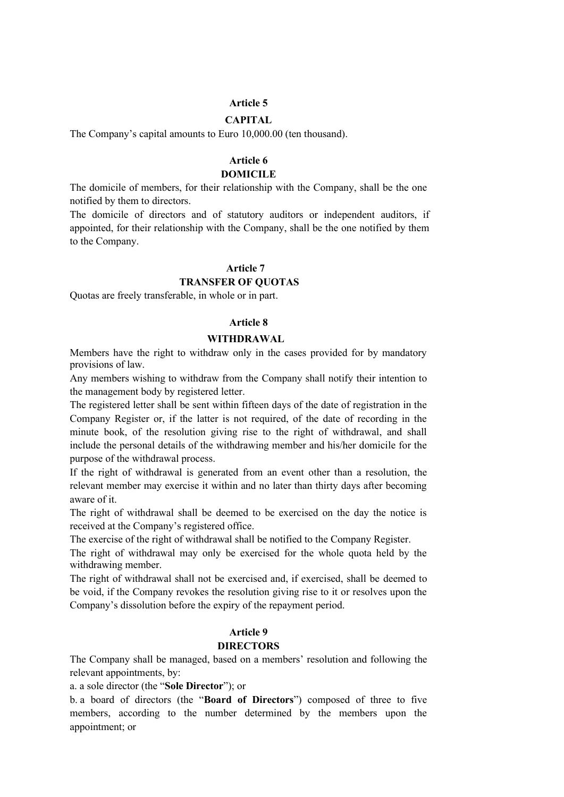### **Article 5**

# **CAPITAL**

The Company's capital amounts to Euro 10,000.00 (ten thousand).

# **Article 6**

# **DOMICILE**

The domicile of members, for their relationship with the Company, shall be the one notified by them to directors.

The domicile of directors and of statutory auditors or independent auditors, if appointed, for their relationship with the Company, shall be the one notified by them to the Company.

### **Article 7**

### **TRANSFER OF QUOTAS**

Quotas are freely transferable, in whole or in part.

### **Article 8**

### **WITHDRAWAL**

Members have the right to withdraw only in the cases provided for by mandatory provisions of law.

Any members wishing to withdraw from the Company shall notify their intention to the management body by registered letter.

The registered letter shall be sent within fifteen days of the date of registration in the Company Register or, if the latter is not required, of the date of recording in the minute book, of the resolution giving rise to the right of withdrawal, and shall include the personal details of the withdrawing member and his/her domicile for the purpose of the withdrawal process.

If the right of withdrawal is generated from an event other than a resolution, the relevant member may exercise it within and no later than thirty days after becoming aware of it.

The right of withdrawal shall be deemed to be exercised on the day the notice is received at the Company's registered office.

The exercise of the right of withdrawal shall be notified to the Company Register.

The right of withdrawal may only be exercised for the whole quota held by the withdrawing member.

The right of withdrawal shall not be exercised and, if exercised, shall be deemed to be void, if the Company revokes the resolution giving rise to it or resolves upon the Company's dissolution before the expiry of the repayment period.

## **Article 9**

### **DIRECTORS**

The Company shall be managed, based on a members' resolution and following the relevant appointments, by:

a. a sole director (the "**Sole Director**"); or

b. a board of directors (the "**Board of Directors**") composed of three to five members, according to the number determined by the members upon the appointment; or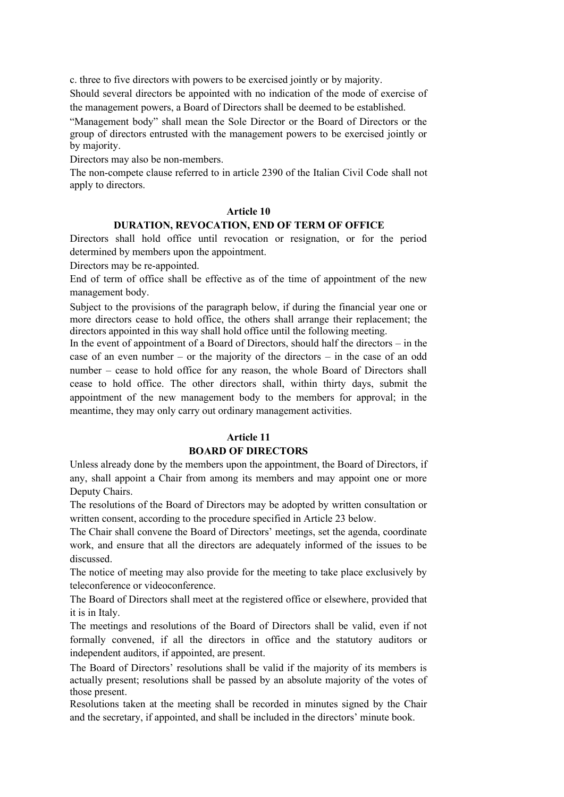c. three to five directors with powers to be exercised jointly or by majority.

Should several directors be appointed with no indication of the mode of exercise of the management powers, a Board of Directors shall be deemed to be established.

"Management body" shall mean the Sole Director or the Board of Directors or the group of directors entrusted with the management powers to be exercised jointly or by majority.

Directors may also be non-members.

The non-compete clause referred to in article 2390 of the Italian Civil Code shall not apply to directors.

## **Article 10**

## **DURATION, REVOCATION, END OF TERM OF OFFICE**

Directors shall hold office until revocation or resignation, or for the period determined by members upon the appointment.

Directors may be re-appointed.

End of term of office shall be effective as of the time of appointment of the new management body.

Subject to the provisions of the paragraph below, if during the financial year one or more directors cease to hold office, the others shall arrange their replacement; the directors appointed in this way shall hold office until the following meeting.

In the event of appointment of a Board of Directors, should half the directors – in the case of an even number – or the majority of the directors – in the case of an odd number – cease to hold office for any reason, the whole Board of Directors shall cease to hold office. The other directors shall, within thirty days, submit the appointment of the new management body to the members for approval; in the meantime, they may only carry out ordinary management activities.

## **Article 11**

# **BOARD OF DIRECTORS**

Unless already done by the members upon the appointment, the Board of Directors, if any, shall appoint a Chair from among its members and may appoint one or more Deputy Chairs.

The resolutions of the Board of Directors may be adopted by written consultation or written consent, according to the procedure specified in Article 23 below.

The Chair shall convene the Board of Directors' meetings, set the agenda, coordinate work, and ensure that all the directors are adequately informed of the issues to be discussed.

The notice of meeting may also provide for the meeting to take place exclusively by teleconference or videoconference.

The Board of Directors shall meet at the registered office or elsewhere, provided that it is in Italy.

The meetings and resolutions of the Board of Directors shall be valid, even if not formally convened, if all the directors in office and the statutory auditors or independent auditors, if appointed, are present.

The Board of Directors' resolutions shall be valid if the majority of its members is actually present; resolutions shall be passed by an absolute majority of the votes of those present.

Resolutions taken at the meeting shall be recorded in minutes signed by the Chair and the secretary, if appointed, and shall be included in the directors' minute book.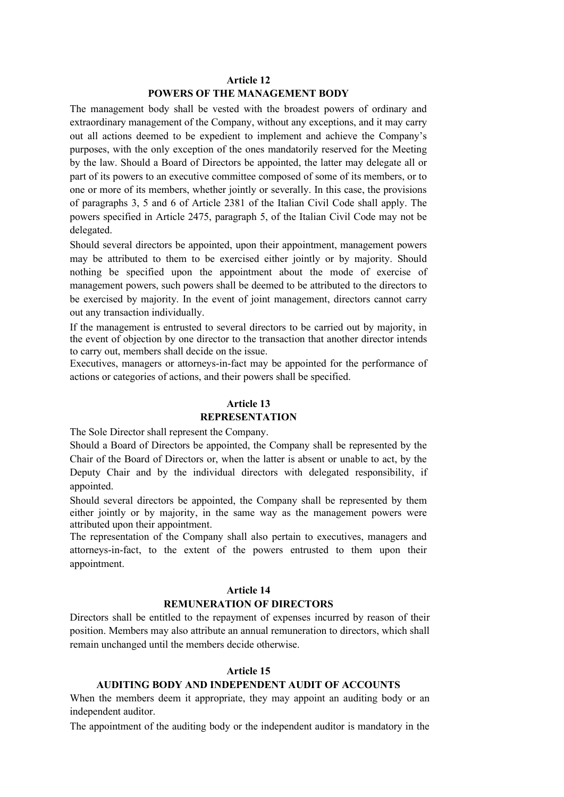# **Article 12**

# **POWERS OF THE MANAGEMENT BODY**

The management body shall be vested with the broadest powers of ordinary and extraordinary management of the Company, without any exceptions, and it may carry out all actions deemed to be expedient to implement and achieve the Company's purposes, with the only exception of the ones mandatorily reserved for the Meeting by the law. Should a Board of Directors be appointed, the latter may delegate all or part of its powers to an executive committee composed of some of its members, or to one or more of its members, whether jointly or severally. In this case, the provisions of paragraphs 3, 5 and 6 of Article 2381 of the Italian Civil Code shall apply. The powers specified in Article 2475, paragraph 5, of the Italian Civil Code may not be delegated.

Should several directors be appointed, upon their appointment, management powers may be attributed to them to be exercised either jointly or by majority. Should nothing be specified upon the appointment about the mode of exercise of management powers, such powers shall be deemed to be attributed to the directors to be exercised by majority. In the event of joint management, directors cannot carry out any transaction individually.

If the management is entrusted to several directors to be carried out by majority, in the event of objection by one director to the transaction that another director intends to carry out, members shall decide on the issue.

Executives, managers or attorneys-in-fact may be appointed for the performance of actions or categories of actions, and their powers shall be specified.

## **Article 13**

### **REPRESENTATION**

The Sole Director shall represent the Company.

Should a Board of Directors be appointed, the Company shall be represented by the Chair of the Board of Directors or, when the latter is absent or unable to act, by the Deputy Chair and by the individual directors with delegated responsibility, if appointed.

Should several directors be appointed, the Company shall be represented by them either jointly or by majority, in the same way as the management powers were attributed upon their appointment.

The representation of the Company shall also pertain to executives, managers and attorneys-in-fact, to the extent of the powers entrusted to them upon their appointment.

#### **Article 14**

### **REMUNERATION OF DIRECTORS**

Directors shall be entitled to the repayment of expenses incurred by reason of their position. Members may also attribute an annual remuneration to directors, which shall remain unchanged until the members decide otherwise.

### **Article 15**

## **AUDITING BODY AND INDEPENDENT AUDIT OF ACCOUNTS**

When the members deem it appropriate, they may appoint an auditing body or an independent auditor.

The appointment of the auditing body or the independent auditor is mandatory in the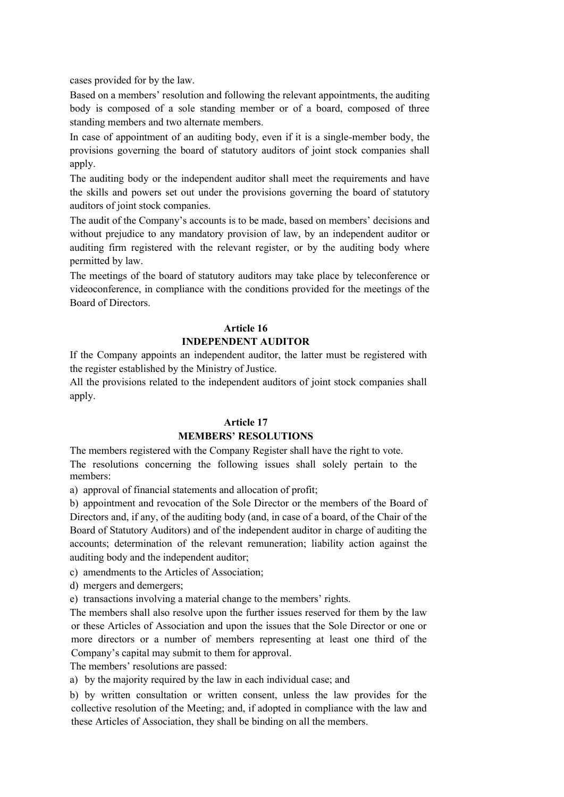cases provided for by the law.

Based on a members' resolution and following the relevant appointments, the auditing body is composed of a sole standing member or of a board, composed of three standing members and two alternate members.

In case of appointment of an auditing body, even if it is a single-member body, the provisions governing the board of statutory auditors of joint stock companies shall apply.

The auditing body or the independent auditor shall meet the requirements and have the skills and powers set out under the provisions governing the board of statutory auditors of joint stock companies.

The audit of the Company's accounts is to be made, based on members' decisions and without prejudice to any mandatory provision of law, by an independent auditor or auditing firm registered with the relevant register, or by the auditing body where permitted by law.

The meetings of the board of statutory auditors may take place by teleconference or videoconference, in compliance with the conditions provided for the meetings of the Board of Directors.

### **Article 16**

## **INDEPENDENT AUDITOR**

If the Company appoints an independent auditor, the latter must be registered with the register established by the Ministry of Justice.

All the provisions related to the independent auditors of joint stock companies shall apply.

### **Article 17**

## **MEMBERS' RESOLUTIONS**

The members registered with the Company Register shall have the right to vote. The resolutions concerning the following issues shall solely pertain to the members:

a) approval of financial statements and allocation of profit;

b) appointment and revocation of the Sole Director or the members of the Board of Directors and, if any, of the auditing body (and, in case of a board, of the Chair of the Board of Statutory Auditors) and of the independent auditor in charge of auditing the accounts; determination of the relevant remuneration; liability action against the auditing body and the independent auditor;

c) amendments to the Articles of Association;

d) mergers and demergers;

e) transactions involving a material change to the members' rights.

The members shall also resolve upon the further issues reserved for them by the law or these Articles of Association and upon the issues that the Sole Director or one or more directors or a number of members representing at least one third of the Company's capital may submit to them for approval.

The members' resolutions are passed:

a) by the majority required by the law in each individual case; and

b) by written consultation or written consent, unless the law provides for the collective resolution of the Meeting; and, if adopted in compliance with the law and these Articles of Association, they shall be binding on all the members.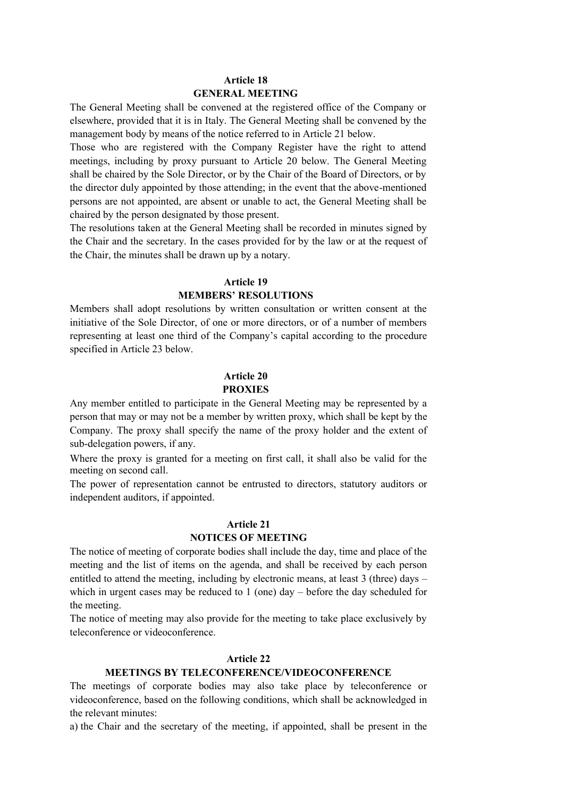## **Article 18 GENERAL MEETING**

The General Meeting shall be convened at the registered office of the Company or elsewhere, provided that it is in Italy. The General Meeting shall be convened by the management body by means of the notice referred to in Article 21 below.

Those who are registered with the Company Register have the right to attend meetings, including by proxy pursuant to Article 20 below. The General Meeting shall be chaired by the Sole Director, or by the Chair of the Board of Directors, or by the director duly appointed by those attending; in the event that the above-mentioned persons are not appointed, are absent or unable to act, the General Meeting shall be chaired by the person designated by those present.

The resolutions taken at the General Meeting shall be recorded in minutes signed by the Chair and the secretary. In the cases provided for by the law or at the request of the Chair, the minutes shall be drawn up by a notary.

### **Article 19**

### **MEMBERS' RESOLUTIONS**

Members shall adopt resolutions by written consultation or written consent at the initiative of the Sole Director, of one or more directors, or of a number of members representing at least one third of the Company's capital according to the procedure specified in Article 23 below.

# **Article 20 PROXIES**

Any member entitled to participate in the General Meeting may be represented by a person that may or may not be a member by written proxy, which shall be kept by the Company. The proxy shall specify the name of the proxy holder and the extent of sub-delegation powers, if any.

Where the proxy is granted for a meeting on first call, it shall also be valid for the meeting on second call.

The power of representation cannot be entrusted to directors, statutory auditors or independent auditors, if appointed.

## **Article 21**

## **NOTICES OF MEETING**

The notice of meeting of corporate bodies shall include the day, time and place of the meeting and the list of items on the agenda, and shall be received by each person entitled to attend the meeting, including by electronic means, at least 3 (three) days – which in urgent cases may be reduced to  $1$  (one) day – before the day scheduled for the meeting.

The notice of meeting may also provide for the meeting to take place exclusively by teleconference or videoconference.

## **Article 22**

## **MEETINGS BY TELECONFERENCE/VIDEOCONFERENCE**

The meetings of corporate bodies may also take place by teleconference or videoconference, based on the following conditions, which shall be acknowledged in the relevant minutes:

a) the Chair and the secretary of the meeting, if appointed, shall be present in the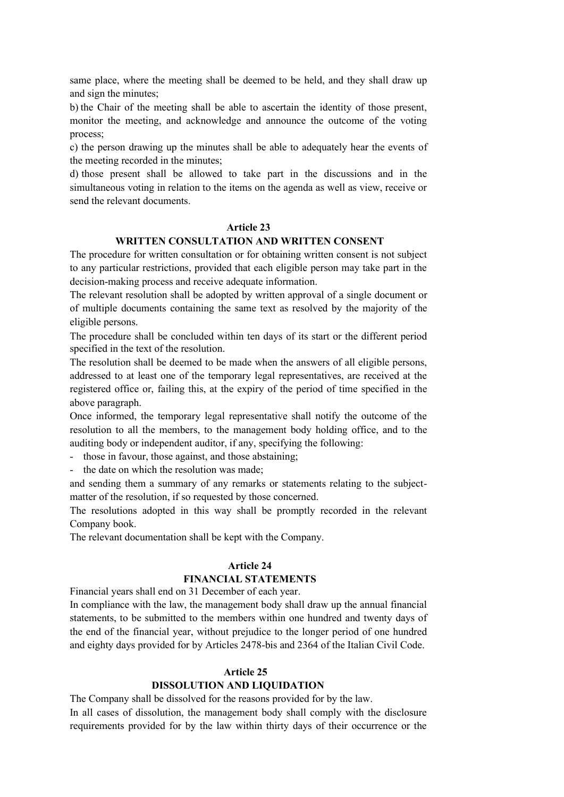same place, where the meeting shall be deemed to be held, and they shall draw up and sign the minutes;

b) the Chair of the meeting shall be able to ascertain the identity of those present, monitor the meeting, and acknowledge and announce the outcome of the voting process;

c) the person drawing up the minutes shall be able to adequately hear the events of the meeting recorded in the minutes;

d) those present shall be allowed to take part in the discussions and in the simultaneous voting in relation to the items on the agenda as well as view, receive or send the relevant documents.

## **Article 23**

### **WRITTEN CONSULTATION AND WRITTEN CONSENT**

The procedure for written consultation or for obtaining written consent is not subject to any particular restrictions, provided that each eligible person may take part in the decision-making process and receive adequate information.

The relevant resolution shall be adopted by written approval of a single document or of multiple documents containing the same text as resolved by the majority of the eligible persons.

The procedure shall be concluded within ten days of its start or the different period specified in the text of the resolution.

The resolution shall be deemed to be made when the answers of all eligible persons, addressed to at least one of the temporary legal representatives, are received at the registered office or, failing this, at the expiry of the period of time specified in the above paragraph.

Once informed, the temporary legal representative shall notify the outcome of the resolution to all the members, to the management body holding office, and to the auditing body or independent auditor, if any, specifying the following:

- those in favour, those against, and those abstaining;

- the date on which the resolution was made;

and sending them a summary of any remarks or statements relating to the subjectmatter of the resolution, if so requested by those concerned.

The resolutions adopted in this way shall be promptly recorded in the relevant Company book.

The relevant documentation shall be kept with the Company.

### **Article 24**

### **FINANCIAL STATEMENTS**

Financial years shall end on 31 December of each year.

In compliance with the law, the management body shall draw up the annual financial statements, to be submitted to the members within one hundred and twenty days of the end of the financial year, without prejudice to the longer period of one hundred and eighty days provided for by Articles 2478-bis and 2364 of the Italian Civil Code.

### **Article 25**

### **DISSOLUTION AND LIQUIDATION**

The Company shall be dissolved for the reasons provided for by the law.

In all cases of dissolution, the management body shall comply with the disclosure requirements provided for by the law within thirty days of their occurrence or the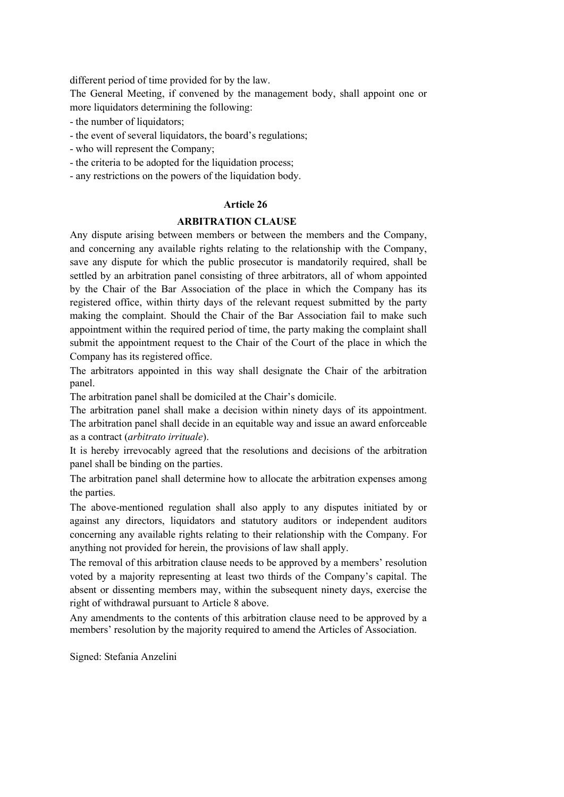different period of time provided for by the law.

The General Meeting, if convened by the management body, shall appoint one or more liquidators determining the following:

- the number of liquidators;
- the event of several liquidators, the board's regulations;
- who will represent the Company;
- the criteria to be adopted for the liquidation process;
- any restrictions on the powers of the liquidation body.

## **Article 26**

## **ARBITRATION CLAUSE**

Any dispute arising between members or between the members and the Company, and concerning any available rights relating to the relationship with the Company, save any dispute for which the public prosecutor is mandatorily required, shall be settled by an arbitration panel consisting of three arbitrators, all of whom appointed by the Chair of the Bar Association of the place in which the Company has its registered office, within thirty days of the relevant request submitted by the party making the complaint. Should the Chair of the Bar Association fail to make such appointment within the required period of time, the party making the complaint shall submit the appointment request to the Chair of the Court of the place in which the Company has its registered office.

The arbitrators appointed in this way shall designate the Chair of the arbitration panel.

The arbitration panel shall be domiciled at the Chair's domicile.

The arbitration panel shall make a decision within ninety days of its appointment. The arbitration panel shall decide in an equitable way and issue an award enforceable as a contract (*arbitrato irrituale*).

It is hereby irrevocably agreed that the resolutions and decisions of the arbitration panel shall be binding on the parties.

The arbitration panel shall determine how to allocate the arbitration expenses among the parties.

The above-mentioned regulation shall also apply to any disputes initiated by or against any directors, liquidators and statutory auditors or independent auditors concerning any available rights relating to their relationship with the Company. For anything not provided for herein, the provisions of law shall apply.

The removal of this arbitration clause needs to be approved by a members' resolution voted by a majority representing at least two thirds of the Company's capital. The absent or dissenting members may, within the subsequent ninety days, exercise the right of withdrawal pursuant to Article 8 above.

Any amendments to the contents of this arbitration clause need to be approved by a members' resolution by the majority required to amend the Articles of Association.

Signed: Stefania Anzelini